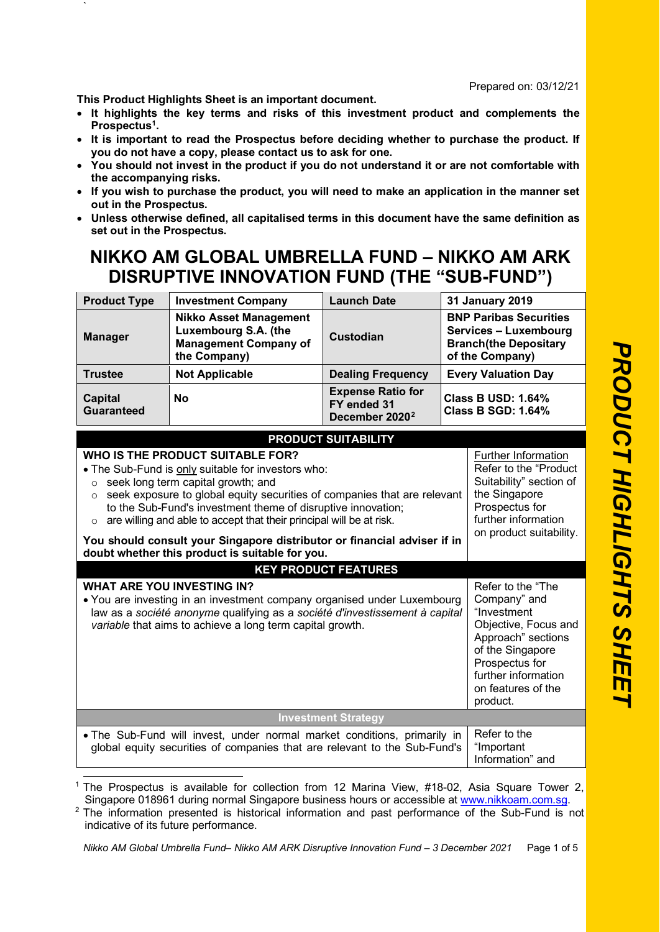**This Product Highlights Sheet is an important document.**

`

- **It highlights the key terms and risks of this investment product and complements the Prospectu[s1.](#page-0-0)**
- **It is important to read the Prospectus before deciding whether to purchase the product. If you do not have a copy, please contact us to ask for one.**
- **You should not invest in the product if you do not understand it or are not comfortable with the accompanying risks.**
- **If you wish to purchase the product, you will need to make an application in the manner set out in the Prospectus.**
- **Unless otherwise defined, all capitalised terms in this document have the same definition as set out in the Prospectus.**

## **NIKKO AM GLOBAL UMBRELLA FUND – NIKKO AM ARK DISRUPTIVE INNOVATION FUND (THE "SUB-FUND")**

| <b>Product Type</b>                                                                                                                                                                                                                                                                                                                                                                                                                                           | <b>Investment Company</b>                                                                             | <b>Launch Date</b>                                                    |                                                                                                                                                                                               | <b>31 January 2019</b> |
|---------------------------------------------------------------------------------------------------------------------------------------------------------------------------------------------------------------------------------------------------------------------------------------------------------------------------------------------------------------------------------------------------------------------------------------------------------------|-------------------------------------------------------------------------------------------------------|-----------------------------------------------------------------------|-----------------------------------------------------------------------------------------------------------------------------------------------------------------------------------------------|------------------------|
| <b>Manager</b>                                                                                                                                                                                                                                                                                                                                                                                                                                                | <b>Nikko Asset Management</b><br>Luxembourg S.A. (the<br><b>Management Company of</b><br>the Company) | <b>Custodian</b>                                                      | <b>BNP Paribas Securities</b><br>Services - Luxembourg<br><b>Branch(the Depositary</b><br>of the Company)                                                                                     |                        |
| <b>Trustee</b>                                                                                                                                                                                                                                                                                                                                                                                                                                                | <b>Not Applicable</b>                                                                                 | <b>Dealing Frequency</b>                                              | <b>Every Valuation Day</b>                                                                                                                                                                    |                        |
| <b>Capital</b><br><b>Guaranteed</b>                                                                                                                                                                                                                                                                                                                                                                                                                           | <b>No</b>                                                                                             | <b>Expense Ratio for</b><br>FY ended 31<br>December 2020 <sup>2</sup> | <b>Class B USD: 1.64%</b><br><b>Class B SGD: 1.64%</b>                                                                                                                                        |                        |
|                                                                                                                                                                                                                                                                                                                                                                                                                                                               |                                                                                                       | <b>PRODUCT SUITABILITY</b>                                            |                                                                                                                                                                                               |                        |
| WHO IS THE PRODUCT SUITABLE FOR?<br>. The Sub-Fund is only suitable for investors who:<br>seek long term capital growth; and<br>$\circ$<br>seek exposure to global equity securities of companies that are relevant<br>$\circ$<br>to the Sub-Fund's investment theme of disruptive innovation;<br>are willing and able to accept that their principal will be at risk.<br>$\circ$<br>You should consult your Singapore distributor or financial adviser if in |                                                                                                       |                                                                       | Further Information<br>Refer to the "Product<br>Suitability" section of<br>the Singapore<br>Prospectus for<br>further information<br>on product suitability.                                  |                        |
| doubt whether this product is suitable for you.                                                                                                                                                                                                                                                                                                                                                                                                               |                                                                                                       |                                                                       |                                                                                                                                                                                               |                        |
|                                                                                                                                                                                                                                                                                                                                                                                                                                                               |                                                                                                       | <b>KEY PRODUCT FEATURES</b>                                           |                                                                                                                                                                                               |                        |
| <b>WHAT ARE YOU INVESTING IN?</b><br>• You are investing in an investment company organised under Luxembourg<br>law as a société anonyme qualifying as a société d'investissement à capital<br>variable that aims to achieve a long term capital growth.                                                                                                                                                                                                      |                                                                                                       |                                                                       | Refer to the "The<br>Company" and<br>"Investment<br>Objective, Focus and<br>Approach" sections<br>of the Singapore<br>Prospectus for<br>further information<br>on features of the<br>product. |                        |
| <b>Investment Strategy</b>                                                                                                                                                                                                                                                                                                                                                                                                                                    |                                                                                                       |                                                                       |                                                                                                                                                                                               |                        |
| . The Sub-Fund will invest, under normal market conditions, primarily in<br>global equity securities of companies that are relevant to the Sub-Fund's                                                                                                                                                                                                                                                                                                         |                                                                                                       | Refer to the<br>"Important<br>Information" and                        |                                                                                                                                                                                               |                        |

<span id="page-0-0"></span><sup>1</sup> The Prospectus is available for collection from 12 Marina View, #18-02, Asia Square Tower 2, Singapore 018961 during normal Singapore business hours or accessible at [www.nikkoam.com.sg.](file:///C:%5CUsers%5Ca23239%5CAppData%5CLocal%5CMicrosoft%5CWindows%5CTemporary%20Internet%20Files%5CContent.Outlook%5CAppData%5CLocal%5CMicrosoft%5CWindows%5CINetCache%5Cshtan%5CAppData%5CLocal%5CMicrosoft%5CAppData%5CLocal%5CMicrosoft%5CWindows%5CAppData%5CUSERS%5CCLEEEM%5CDOCUMENTS%5CNRPORTBL%5CMATTERS%5CCLEEEM%5Cwww.nikkoam.com.sg)

<span id="page-0-1"></span><sup>2</sup> The information presented is historical information and past performance of the Sub-Fund is not indicative of its future performance.

*Nikko AM Global Umbrella Fund– Nikko AM ARK Disruptive Innovation Fund – 3 December 2021* Page 1 of 5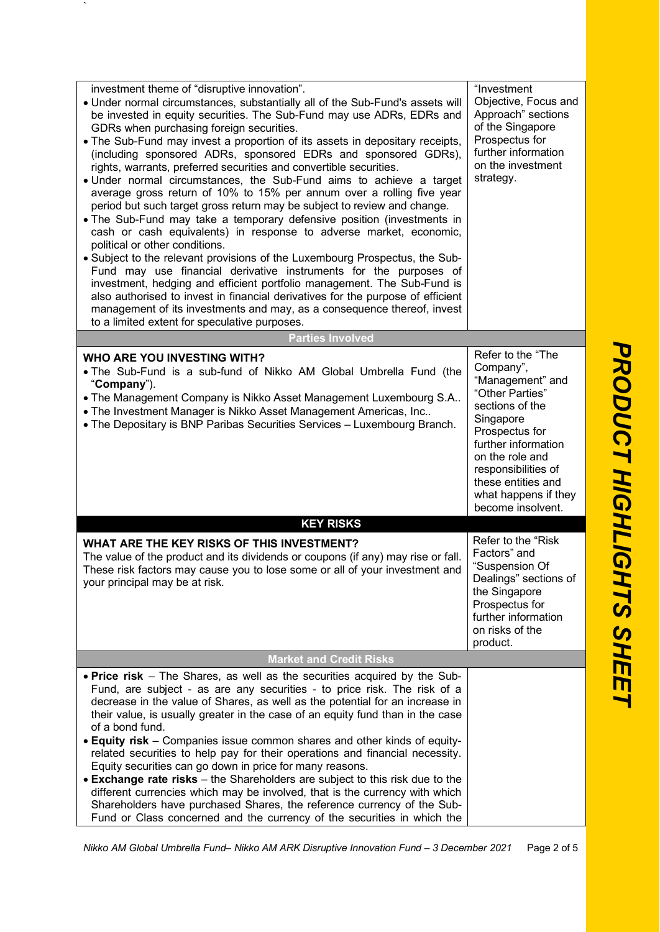| investment theme of "disruptive innovation".<br>. Under normal circumstances, substantially all of the Sub-Fund's assets will<br>be invested in equity securities. The Sub-Fund may use ADRs, EDRs and<br>GDRs when purchasing foreign securities.<br>• The Sub-Fund may invest a proportion of its assets in depositary receipts,<br>(including sponsored ADRs, sponsored EDRs and sponsored GDRs),<br>rights, warrants, preferred securities and convertible securities.<br>• Under normal circumstances, the Sub-Fund aims to achieve a target<br>average gross return of 10% to 15% per annum over a rolling five year<br>period but such target gross return may be subject to review and change.<br>• The Sub-Fund may take a temporary defensive position (investments in<br>cash or cash equivalents) in response to adverse market, economic,<br>political or other conditions.<br>• Subject to the relevant provisions of the Luxembourg Prospectus, the Sub-<br>Fund may use financial derivative instruments for the purposes of<br>investment, hedging and efficient portfolio management. The Sub-Fund is<br>also authorised to invest in financial derivatives for the purpose of efficient<br>management of its investments and may, as a consequence thereof, invest<br>to a limited extent for speculative purposes. | "Investment<br>Objective, Focus and<br>Approach" sections<br>of the Singapore<br>Prospectus for<br>further information<br>on the investment<br>strategy.                                                                                                    |  |  |  |
|----------------------------------------------------------------------------------------------------------------------------------------------------------------------------------------------------------------------------------------------------------------------------------------------------------------------------------------------------------------------------------------------------------------------------------------------------------------------------------------------------------------------------------------------------------------------------------------------------------------------------------------------------------------------------------------------------------------------------------------------------------------------------------------------------------------------------------------------------------------------------------------------------------------------------------------------------------------------------------------------------------------------------------------------------------------------------------------------------------------------------------------------------------------------------------------------------------------------------------------------------------------------------------------------------------------------------------------|-------------------------------------------------------------------------------------------------------------------------------------------------------------------------------------------------------------------------------------------------------------|--|--|--|
| <b>Parties Involved</b>                                                                                                                                                                                                                                                                                                                                                                                                                                                                                                                                                                                                                                                                                                                                                                                                                                                                                                                                                                                                                                                                                                                                                                                                                                                                                                                |                                                                                                                                                                                                                                                             |  |  |  |
| <b>WHO ARE YOU INVESTING WITH?</b><br>• The Sub-Fund is a sub-fund of Nikko AM Global Umbrella Fund (the<br>"Company").<br>• The Management Company is Nikko Asset Management Luxembourg S.A<br>• The Investment Manager is Nikko Asset Management Americas, Inc<br>• The Depositary is BNP Paribas Securities Services - Luxembourg Branch.                                                                                                                                                                                                                                                                                                                                                                                                                                                                                                                                                                                                                                                                                                                                                                                                                                                                                                                                                                                           | Refer to the "The<br>Company",<br>"Management" and<br>"Other Parties"<br>sections of the<br>Singapore<br>Prospectus for<br>further information<br>on the role and<br>responsibilities of<br>these entities and<br>what happens if they<br>become insolvent. |  |  |  |
| <b>KEY RISKS</b>                                                                                                                                                                                                                                                                                                                                                                                                                                                                                                                                                                                                                                                                                                                                                                                                                                                                                                                                                                                                                                                                                                                                                                                                                                                                                                                       |                                                                                                                                                                                                                                                             |  |  |  |
| WHAT ARE THE KEY RISKS OF THIS INVESTMENT?<br>The value of the product and its dividends or coupons (if any) may rise or fall.<br>These risk factors may cause you to lose some or all of your investment and<br>your principal may be at risk.                                                                                                                                                                                                                                                                                                                                                                                                                                                                                                                                                                                                                                                                                                                                                                                                                                                                                                                                                                                                                                                                                        | Refer to the "Risk<br>Factors" and<br>"Suspension Of<br>Dealings" sections of<br>the Singapore<br>Prospectus for<br>further information<br>on risks of the<br>product.                                                                                      |  |  |  |
| <b>Market and Credit Risks</b>                                                                                                                                                                                                                                                                                                                                                                                                                                                                                                                                                                                                                                                                                                                                                                                                                                                                                                                                                                                                                                                                                                                                                                                                                                                                                                         |                                                                                                                                                                                                                                                             |  |  |  |
| • Price risk – The Shares, as well as the securities acquired by the Sub-<br>Fund, are subject - as are any securities - to price risk. The risk of a<br>decrease in the value of Shares, as well as the potential for an increase in<br>their value, is usually greater in the case of an equity fund than in the case<br>of a bond fund.<br>• Equity risk – Companies issue common shares and other kinds of equity-<br>related securities to help pay for their operations and financial necessity.<br>Equity securities can go down in price for many reasons.<br>• Exchange rate risks - the Shareholders are subject to this risk due to the<br>different currencies which may be involved, that is the currency with which<br>Shareholders have purchased Shares, the reference currency of the Sub-<br>Fund or Class concerned and the currency of the securities in which the                                                                                                                                                                                                                                                                                                                                                                                                                                                 |                                                                                                                                                                                                                                                             |  |  |  |

*Nikko AM Global Umbrella Fund– Nikko AM ARK Disruptive Innovation Fund – 3 December 2021* Page 2 of 5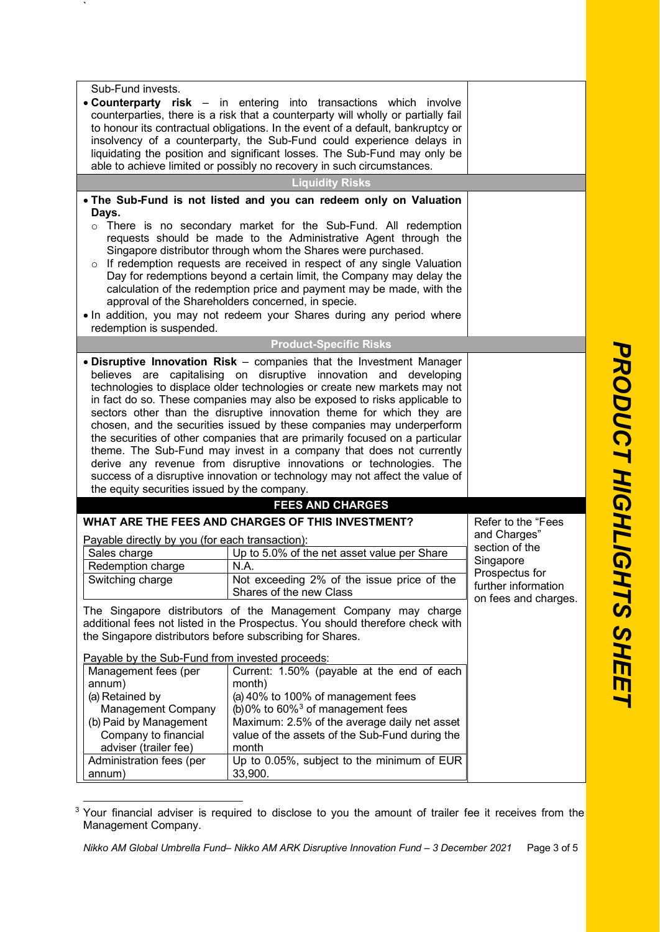| Sub-Fund invests.<br>• Counterparty risk - in entering into transactions which involve<br>counterparties, there is a risk that a counterparty will wholly or partially fail |                                                                                                                                                   |                                       |  |  |
|-----------------------------------------------------------------------------------------------------------------------------------------------------------------------------|---------------------------------------------------------------------------------------------------------------------------------------------------|---------------------------------------|--|--|
|                                                                                                                                                                             | to honour its contractual obligations. In the event of a default, bankruptcy or                                                                   |                                       |  |  |
|                                                                                                                                                                             | insolvency of a counterparty, the Sub-Fund could experience delays in                                                                             |                                       |  |  |
|                                                                                                                                                                             | liquidating the position and significant losses. The Sub-Fund may only be                                                                         |                                       |  |  |
|                                                                                                                                                                             | able to achieve limited or possibly no recovery in such circumstances.                                                                            |                                       |  |  |
|                                                                                                                                                                             | <b>Liquidity Risks</b>                                                                                                                            |                                       |  |  |
|                                                                                                                                                                             | . The Sub-Fund is not listed and you can redeem only on Valuation                                                                                 |                                       |  |  |
| Days.                                                                                                                                                                       |                                                                                                                                                   |                                       |  |  |
|                                                                                                                                                                             | o There is no secondary market for the Sub-Fund. All redemption                                                                                   |                                       |  |  |
|                                                                                                                                                                             | requests should be made to the Administrative Agent through the                                                                                   |                                       |  |  |
|                                                                                                                                                                             | Singapore distributor through whom the Shares were purchased.                                                                                     |                                       |  |  |
|                                                                                                                                                                             | o If redemption requests are received in respect of any single Valuation<br>Day for redemptions beyond a certain limit, the Company may delay the |                                       |  |  |
|                                                                                                                                                                             | calculation of the redemption price and payment may be made, with the                                                                             |                                       |  |  |
|                                                                                                                                                                             | approval of the Shareholders concerned, in specie.                                                                                                |                                       |  |  |
|                                                                                                                                                                             | . In addition, you may not redeem your Shares during any period where                                                                             |                                       |  |  |
| redemption is suspended.                                                                                                                                                    |                                                                                                                                                   |                                       |  |  |
|                                                                                                                                                                             | <b>Product-Specific Risks</b>                                                                                                                     |                                       |  |  |
|                                                                                                                                                                             | • Disruptive Innovation Risk - companies that the Investment Manager                                                                              |                                       |  |  |
|                                                                                                                                                                             | believes are capitalising on disruptive innovation and developing                                                                                 |                                       |  |  |
|                                                                                                                                                                             | technologies to displace older technologies or create new markets may not                                                                         |                                       |  |  |
|                                                                                                                                                                             | in fact do so. These companies may also be exposed to risks applicable to                                                                         |                                       |  |  |
|                                                                                                                                                                             | sectors other than the disruptive innovation theme for which they are                                                                             |                                       |  |  |
| chosen, and the securities issued by these companies may underperform<br>the securities of other companies that are primarily focused on a particular                       |                                                                                                                                                   |                                       |  |  |
| theme. The Sub-Fund may invest in a company that does not currently                                                                                                         |                                                                                                                                                   |                                       |  |  |
| derive any revenue from disruptive innovations or technologies. The                                                                                                         |                                                                                                                                                   |                                       |  |  |
| success of a disruptive innovation or technology may not affect the value of                                                                                                |                                                                                                                                                   |                                       |  |  |
| the equity securities issued by the company.                                                                                                                                |                                                                                                                                                   |                                       |  |  |
|                                                                                                                                                                             | <b>FEES AND CHARGES</b>                                                                                                                           |                                       |  |  |
|                                                                                                                                                                             | WHAT ARE THE FEES AND CHARGES OF THIS INVESTMENT?                                                                                                 | Refer to the "Fees                    |  |  |
| Payable directly by you (for each transaction):                                                                                                                             |                                                                                                                                                   | and Charges"                          |  |  |
| Sales charge                                                                                                                                                                | Up to 5.0% of the net asset value per Share                                                                                                       | section of the                        |  |  |
| Redemption charge                                                                                                                                                           | N.A.                                                                                                                                              | Singapore                             |  |  |
| Switching charge                                                                                                                                                            | Not exceeding 2% of the issue price of the                                                                                                        | Prospectus for<br>further information |  |  |
|                                                                                                                                                                             | Shares of the new Class                                                                                                                           | on fees and charges.                  |  |  |
|                                                                                                                                                                             | The Singapore distributors of the Management Company may charge                                                                                   |                                       |  |  |
|                                                                                                                                                                             | additional fees not listed in the Prospectus. You should therefore check with                                                                     |                                       |  |  |
| the Singapore distributors before subscribing for Shares.                                                                                                                   |                                                                                                                                                   |                                       |  |  |
| Payable by the Sub-Fund from invested proceeds:                                                                                                                             |                                                                                                                                                   |                                       |  |  |
| Management fees (per                                                                                                                                                        | Current: 1.50% (payable at the end of each                                                                                                        |                                       |  |  |
| annum)<br>month)                                                                                                                                                            |                                                                                                                                                   |                                       |  |  |
| (a) 40% to 100% of management fees<br>(a) Retained by                                                                                                                       |                                                                                                                                                   |                                       |  |  |
| (b) 0% to $60\%$ <sup>3</sup> of management fees<br>Management Company<br>Maximum: 2.5% of the average daily net asset                                                      |                                                                                                                                                   |                                       |  |  |
| (b) Paid by Management<br>Company to financial                                                                                                                              |                                                                                                                                                   |                                       |  |  |
| value of the assets of the Sub-Fund during the<br>adviser (trailer fee)<br>month                                                                                            |                                                                                                                                                   |                                       |  |  |
| Up to 0.05%, subject to the minimum of EUR<br>Administration fees (per                                                                                                      |                                                                                                                                                   |                                       |  |  |
| annum)                                                                                                                                                                      |                                                                                                                                                   |                                       |  |  |

<span id="page-2-0"></span><sup>&</sup>lt;sup>3</sup> Your financial adviser is required to disclose to you the amount of trailer fee it receives from the Management Company.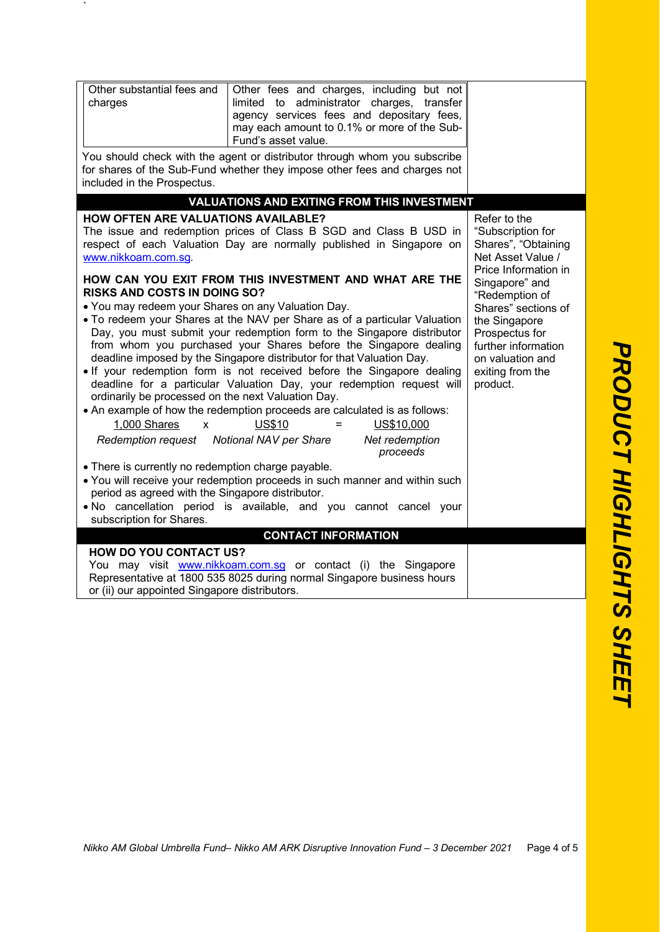| Other substantial fees and<br>Other fees and charges, including but not<br>administrator charges, transfer<br>charges<br>limited to<br>agency services fees and depositary fees,<br>may each amount to 0.1% or more of the Sub-<br>Fund's asset value.<br>You should check with the agent or distributor through whom you subscribe                                                                                                                                                                                                                                                                                                             |          |                                                                                                                                                                                                     |  |
|-------------------------------------------------------------------------------------------------------------------------------------------------------------------------------------------------------------------------------------------------------------------------------------------------------------------------------------------------------------------------------------------------------------------------------------------------------------------------------------------------------------------------------------------------------------------------------------------------------------------------------------------------|----------|-----------------------------------------------------------------------------------------------------------------------------------------------------------------------------------------------------|--|
| for shares of the Sub-Fund whether they impose other fees and charges not<br>included in the Prospectus.                                                                                                                                                                                                                                                                                                                                                                                                                                                                                                                                        |          |                                                                                                                                                                                                     |  |
| <b>VALUATIONS AND EXITING FROM THIS INVESTMENT</b>                                                                                                                                                                                                                                                                                                                                                                                                                                                                                                                                                                                              |          |                                                                                                                                                                                                     |  |
| <b>HOW OFTEN ARE VALUATIONS AVAILABLE?</b><br>The issue and redemption prices of Class B SGD and Class B USD in<br>respect of each Valuation Day are normally published in Singapore on<br>www.nikkoam.com.sg.<br>HOW CAN YOU EXIT FROM THIS INVESTMENT AND WHAT ARE THE<br><b>RISKS AND COSTS IN DOING SO?</b><br>• You may redeem your Shares on any Valuation Day.<br>. To redeem your Shares at the NAV per Share as of a particular Valuation<br>Day, you must submit your redemption form to the Singapore distributor                                                                                                                    |          | Refer to the<br>"Subscription for<br>Shares", "Obtaining<br>Net Asset Value /<br>Price Information in<br>Singapore" and<br>"Redemption of<br>Shares" sections of<br>the Singapore<br>Prospectus for |  |
| from whom you purchased your Shares before the Singapore dealing<br>further information<br>deadline imposed by the Singapore distributor for that Valuation Day.<br>on valuation and<br>. If your redemption form is not received before the Singapore dealing<br>exiting from the<br>deadline for a particular Valuation Day, your redemption request will<br>product.<br>ordinarily be processed on the next Valuation Day.<br>• An example of how the redemption proceeds are calculated is as follows:<br><b>US\$10</b><br>1.000 Shares<br>$\mathbf{x}$<br>$=$<br>US\$10,000<br>Redemption request Notional NAV per Share<br>Net redemption |          |                                                                                                                                                                                                     |  |
| • There is currently no redemption charge payable.<br>. You will receive your redemption proceeds in such manner and within such<br>period as agreed with the Singapore distributor.<br>. No cancellation period is available, and you cannot cancel your<br>subscription for Shares.                                                                                                                                                                                                                                                                                                                                                           | proceeds |                                                                                                                                                                                                     |  |
| <b>CONTACT INFORMATION</b>                                                                                                                                                                                                                                                                                                                                                                                                                                                                                                                                                                                                                      |          |                                                                                                                                                                                                     |  |
| <b>HOW DO YOU CONTACT US?</b><br>You may visit www.nikkoam.com.sg or contact (i) the Singapore<br>Representative at 1800 535 8025 during normal Singapore business hours<br>or (ii) our appointed Singapore distributors.                                                                                                                                                                                                                                                                                                                                                                                                                       |          |                                                                                                                                                                                                     |  |
|                                                                                                                                                                                                                                                                                                                                                                                                                                                                                                                                                                                                                                                 |          |                                                                                                                                                                                                     |  |